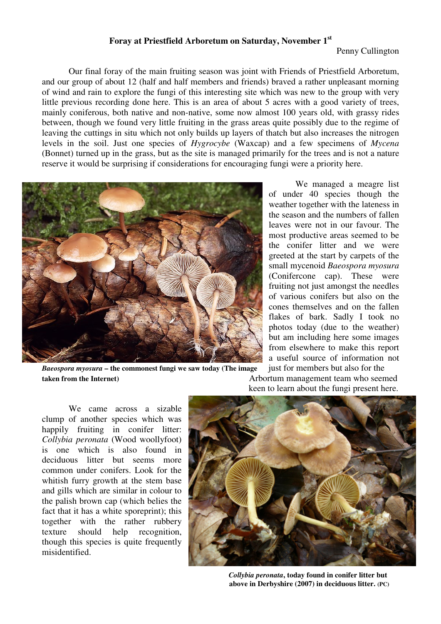## **Foray at Priestfield Arboretum on Saturday, November 1st**

Penny Cullington

 Our final foray of the main fruiting season was joint with Friends of Priestfield Arboretum, and our group of about 12 (half and half members and friends) braved a rather unpleasant morning of wind and rain to explore the fungi of this interesting site which was new to the group with very little previous recording done here. This is an area of about 5 acres with a good variety of trees, mainly coniferous, both native and non-native, some now almost 100 years old, with grassy rides between, though we found very little fruiting in the grass areas quite possibly due to the regime of leaving the cuttings in situ which not only builds up layers of thatch but also increases the nitrogen levels in the soil. Just one species of *Hygrocybe* (Waxcap) and a few specimens of *Mycena* (Bonnet) turned up in the grass, but as the site is managed primarily for the trees and is not a nature reserve it would be surprising if considerations for encouraging fungi were a priority here.



*Baeospora myosura* **– the commonest fungi we saw today (The image** just for members but also for the **taken from the Internet)** Arbortum management team who seemed

 We managed a meagre list of under 40 species though the weather together with the lateness in the season and the numbers of fallen leaves were not in our favour. The most productive areas seemed to be the conifer litter and we were greeted at the start by carpets of the small mycenoid *Baeospora myosura* (Conifercone cap). These were fruiting not just amongst the needles of various conifers but also on the cones themselves and on the fallen flakes of bark. Sadly I took no photos today (due to the weather) but am including here some images from elsewhere to make this report a useful source of information not

keen to learn about the fungi present here.

 We came across a sizable clump of another species which was happily fruiting in conifer litter: *Collybia peronata* (Wood woollyfoot) is one which is also found in deciduous litter but seems more common under conifers. Look for the whitish furry growth at the stem base and gills which are similar in colour to the palish brown cap (which belies the fact that it has a white sporeprint); this together with the rather rubbery texture should help recognition, though this species is quite frequently misidentified.



*Collybia peronata***, today found in conifer litter but above in Derbyshire (2007) in deciduous litter. (PC)**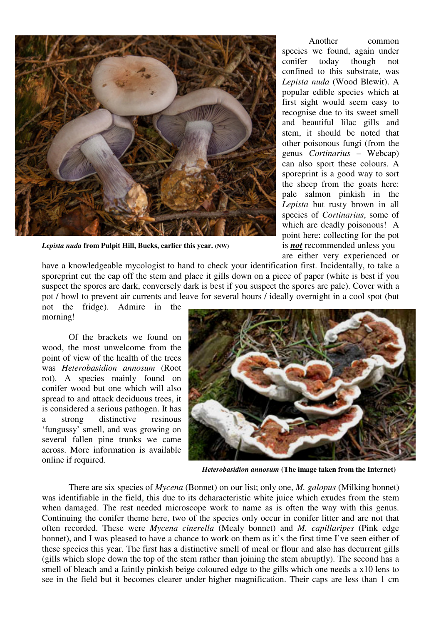

*Lepista nuda* from Pulpit Hill, Bucks, earlier this year. (NW) is **not** recommended unless you

Another common species we found, again under conifer today though not confined to this substrate, was *Lepista nuda* (Wood Blewit). A popular edible species which at first sight would seem easy to recognise due to its sweet smell and beautiful lilac gills and stem, it should be noted that other poisonous fungi (from the genus *Cortinarius* – Webcap) can also sport these colours. A sporeprint is a good way to sort the sheep from the goats here: pale salmon pinkish in the *Lepista* but rusty brown in all species of *Cortinarius*, some of which are deadly poisonous! A point here: collecting for the pot are either very experienced or

have a knowledgeable mycologist to hand to check your identification first. Incidentally, to take a sporeprint cut the cap off the stem and place it gills down on a piece of paper (white is best if you suspect the spores are dark, conversely dark is best if you suspect the spores are pale). Cover with a pot / bowl to prevent air currents and leave for several hours / ideally overnight in a cool spot (but not the fridge). Admire in the

morning!

 Of the brackets we found on wood, the most unwelcome from the point of view of the health of the trees was *Heterobasidion annosum* (Root rot). A species mainly found on conifer wood but one which will also spread to and attack deciduous trees, it is considered a serious pathogen. It has a strong distinctive resinous 'fungussy' smell, and was growing on several fallen pine trunks we came across. More information is available online if required.



*Heterobasidion annosum* **(The image taken from the Internet)** 

There are six species of *Mycena* (Bonnet) on our list; only one, *M. galopus* (Milking bonnet) was identifiable in the field, this due to its dcharacteristic white juice which exudes from the stem when damaged. The rest needed microscope work to name as is often the way with this genus. Continuing the conifer theme here, two of the species only occur in conifer litter and are not that often recorded. These were *Mycena cinerella* (Mealy bonnet) and *M. capillaripes* (Pink edge bonnet), and I was pleased to have a chance to work on them as it's the first time I've seen either of these species this year. The first has a distinctive smell of meal or flour and also has decurrent gills (gills which slope down the top of the stem rather than joining the stem abruptly). The second has a smell of bleach and a faintly pinkish beige coloured edge to the gills which one needs a x10 lens to see in the field but it becomes clearer under higher magnification. Their caps are less than 1 cm